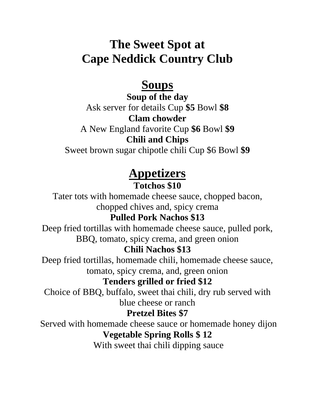# **The Sweet Spot at Cape Neddick Country Club**

## **Soups**

**Soup of the day**  Ask server for details Cup **\$5** Bowl **\$8 Clam chowder**

A New England favorite Cup **\$6** Bowl **\$9 Chili and Chips** 

Sweet brown sugar chipotle chili Cup \$6 Bowl **\$9**

# **Appetizers**

### **Totchos \$10**

Tater tots with homemade cheese sauce, chopped bacon, chopped chives and, spicy crema

### **Pulled Pork Nachos \$13**

Deep fried tortillas with homemade cheese sauce, pulled pork, BBQ, tomato, spicy crema, and green onion

### **Chili Nachos \$13**

Deep fried tortillas, homemade chili, homemade cheese sauce, tomato, spicy crema, and, green onion

### **Tenders grilled or fried \$12**

Choice of BBQ, buffalo, sweet thai chili, dry rub served with blue cheese or ranch

#### **Pretzel Bites \$7**

Served with homemade cheese sauce or homemade honey dijon **Vegetable Spring Rolls \$ 12**

With sweet thai chili dipping sauce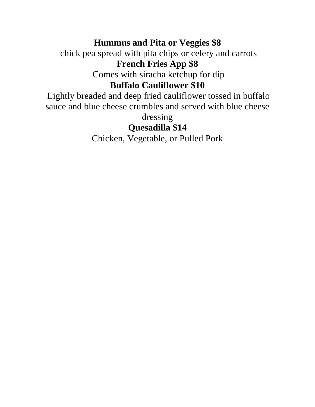#### **Hummus and Pita or Veggies \$8**

chick pea spread with pita chips or celery and carrots **French Fries App \$8**

Comes with siracha ketchup for dip

#### **Buffalo Cauliflower \$10**

Lightly breaded and deep fried cauliflower tossed in buffalo sauce and blue cheese crumbles and served with blue cheese

dressing

### **Quesadilla \$14**

Chicken, Vegetable, or Pulled Pork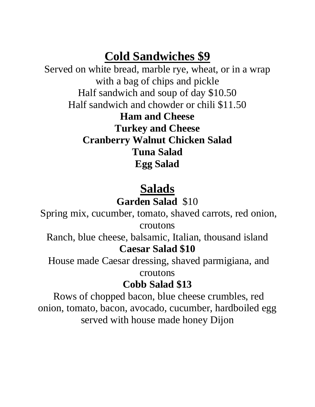# **Cold Sandwiches \$9**

Served on white bread, marble rye, wheat, or in a wrap with a bag of chips and pickle Half sandwich and soup of day \$10.50 Half sandwich and chowder or chili \$11.50

**Ham and Cheese Turkey and Cheese Cranberry Walnut Chicken Salad Tuna Salad Egg Salad** 

# **Salads Garden Salad** \$10

Spring mix, cucumber, tomato, shaved carrots, red onion, croutons

Ranch, blue cheese, balsamic, Italian, thousand island **Caesar Salad \$10**

House made Caesar dressing, shaved parmigiana, and croutons

## **Cobb Salad \$13**

Rows of chopped bacon, blue cheese crumbles, red onion, tomato, bacon, avocado, cucumber, hardboiled egg served with house made honey Dijon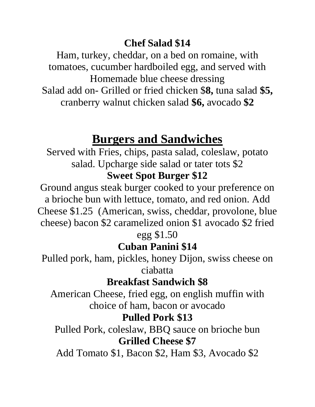## **Chef Salad \$14**

Ham, turkey, cheddar, on a bed on romaine, with tomatoes, cucumber hardboiled egg, and served with Homemade blue cheese dressing Salad add on- Grilled or fried chicken \$**8,** tuna salad **\$5,**  cranberry walnut chicken salad **\$6,** avocado **\$2** 

## **Burgers and Sandwiches**

Served with Fries, chips, pasta salad, coleslaw, potato salad. Upcharge side salad or tater tots \$2 **Sweet Spot Burger \$12**

Ground angus steak burger cooked to your preference on a brioche bun with lettuce, tomato, and red onion. Add Cheese \$1.25 (American, swiss, cheddar, provolone, blue cheese) bacon \$2 caramelized onion \$1 avocado \$2 fried

egg \$1.50

## **Cuban Panini \$14**

Pulled pork, ham, pickles, honey Dijon, swiss cheese on ciabatta

## **Breakfast Sandwich \$8**

American Cheese, fried egg, on english muffin with choice of ham, bacon or avocado

## **Pulled Pork \$13**

Pulled Pork, coleslaw, BBQ sauce on brioche bun **Grilled Cheese \$7**

Add Tomato \$1, Bacon \$2, Ham \$3, Avocado \$2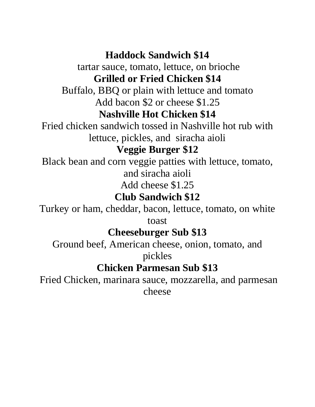**Haddock Sandwich \$14**

tartar sauce, tomato, lettuce, on brioche **Grilled or Fried Chicken \$14**

Buffalo, BBQ or plain with lettuce and tomato Add bacon \$2 or cheese \$1.25

### **Nashville Hot Chicken \$14**

Fried chicken sandwich tossed in Nashville hot rub with lettuce, pickles, and siracha aioli

### **Veggie Burger \$12**

Black bean and corn veggie patties with lettuce, tomato, and siracha aioli

Add cheese \$1.25

### **Club Sandwich \$12**

Turkey or ham, cheddar, bacon, lettuce, tomato, on white

toast

### **Cheeseburger Sub \$13**

Ground beef, American cheese, onion, tomato, and

pickles

## **Chicken Parmesan Sub \$13**

Fried Chicken, marinara sauce, mozzarella, and parmesan cheese